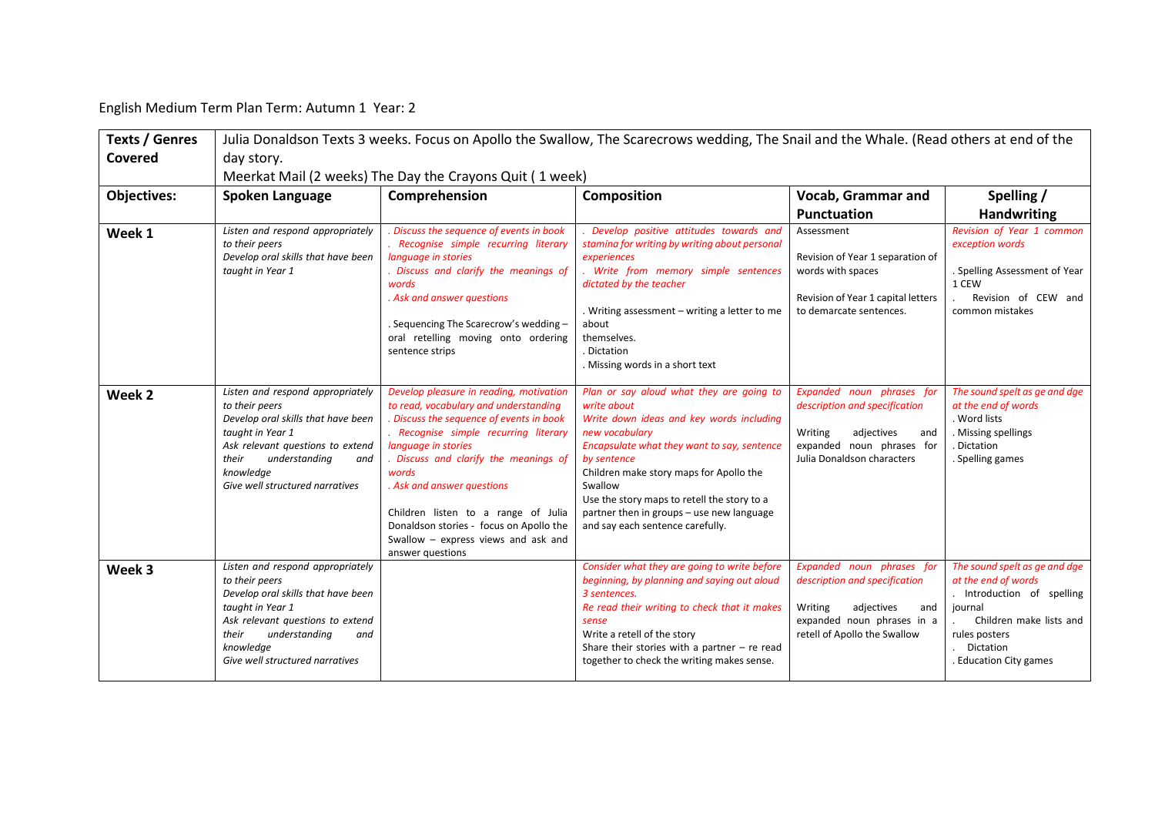English Medium Term Plan Term: Autumn 1 Year: 2

| <b>Texts / Genres</b> | Julia Donaldson Texts 3 weeks. Focus on Apollo the Swallow, The Scarecrows wedding, The Snail and the Whale. (Read others at end of the                                                                                           |                                                                                                                                                                                                                                                                                                                                                                                                                       |                                                                                                                                                                                                                                                                                                                                                                           |                                                                                                                                                          |                                                                                                                                                                                  |  |  |  |  |
|-----------------------|-----------------------------------------------------------------------------------------------------------------------------------------------------------------------------------------------------------------------------------|-----------------------------------------------------------------------------------------------------------------------------------------------------------------------------------------------------------------------------------------------------------------------------------------------------------------------------------------------------------------------------------------------------------------------|---------------------------------------------------------------------------------------------------------------------------------------------------------------------------------------------------------------------------------------------------------------------------------------------------------------------------------------------------------------------------|----------------------------------------------------------------------------------------------------------------------------------------------------------|----------------------------------------------------------------------------------------------------------------------------------------------------------------------------------|--|--|--|--|
| Covered               | day story.                                                                                                                                                                                                                        |                                                                                                                                                                                                                                                                                                                                                                                                                       |                                                                                                                                                                                                                                                                                                                                                                           |                                                                                                                                                          |                                                                                                                                                                                  |  |  |  |  |
|                       | Meerkat Mail (2 weeks) The Day the Crayons Quit (1 week)                                                                                                                                                                          |                                                                                                                                                                                                                                                                                                                                                                                                                       |                                                                                                                                                                                                                                                                                                                                                                           |                                                                                                                                                          |                                                                                                                                                                                  |  |  |  |  |
| <b>Objectives:</b>    | Spoken Language                                                                                                                                                                                                                   | Comprehension                                                                                                                                                                                                                                                                                                                                                                                                         | <b>Composition</b>                                                                                                                                                                                                                                                                                                                                                        | <b>Vocab, Grammar and</b>                                                                                                                                | Spelling /                                                                                                                                                                       |  |  |  |  |
|                       |                                                                                                                                                                                                                                   |                                                                                                                                                                                                                                                                                                                                                                                                                       |                                                                                                                                                                                                                                                                                                                                                                           | <b>Punctuation</b>                                                                                                                                       | <b>Handwriting</b>                                                                                                                                                               |  |  |  |  |
| Week 1                | Listen and respond appropriately<br>to their peers<br>Develop oral skills that have been<br>taught in Year 1                                                                                                                      | Discuss the sequence of events in book<br>Recognise simple recurring literary<br>language in stories<br>. Discuss and clarify the meanings of<br>words<br>. Ask and answer questions<br>. Sequencing The Scarecrow's wedding -<br>oral retelling moving onto ordering<br>sentence strips                                                                                                                              | Develop positive attitudes towards and<br>stamina for writing by writing about personal<br>experiences<br>. Write from memory simple sentences<br>dictated by the teacher<br>. Writing assessment - writing a letter to me<br>about<br>themselves.<br>Dictation<br>. Missing words in a short text                                                                        | Assessment<br>Revision of Year 1 separation of<br>words with spaces<br>Revision of Year 1 capital letters<br>to demarcate sentences.                     | Revision of Year 1 common<br>exception words<br>. Spelling Assessment of Year<br>1 CEW<br>Revision of CEW and<br>common mistakes                                                 |  |  |  |  |
| Week <sub>2</sub>     | Listen and respond appropriately<br>to their peers<br>Develop oral skills that have been<br>taught in Year 1<br>Ask relevant questions to extend<br>their<br>understanding<br>and<br>knowledge<br>Give well structured narratives | Develop pleasure in reading, motivation<br>to read, vocabulary and understanding<br>Discuss the sequence of events in book<br>Recognise simple recurring literary<br>language in stories<br>. Discuss and clarify the meanings of<br>words<br>. Ask and answer questions<br>Children listen to a range of Julia<br>Donaldson stories - focus on Apollo the<br>Swallow - express views and ask and<br>answer questions | Plan or say aloud what they are going to<br>write about<br>Write down ideas and key words including<br>new vocabulary<br>Encapsulate what they want to say, sentence<br>by sentence<br>Children make story maps for Apollo the<br>Swallow<br>Use the story maps to retell the story to a<br>partner then in groups - use new language<br>and say each sentence carefully. | Expanded noun phrases for<br>description and specification<br>Writing<br>adjectives<br>and<br>expanded noun phrases for<br>Julia Donaldson characters    | The sound spelt as ge and dge<br>at the end of words<br>. Word lists<br>. Missing spellings<br>Dictation<br>. Spelling games                                                     |  |  |  |  |
| Week 3                | Listen and respond appropriately<br>to their peers<br>Develop oral skills that have been<br>taught in Year 1<br>Ask relevant questions to extend<br>their<br>understanding<br>and<br>knowledge<br>Give well structured narratives |                                                                                                                                                                                                                                                                                                                                                                                                                       | Consider what they are going to write before<br>beginning, by planning and saying out aloud<br>3 sentences.<br>Re read their writing to check that it makes<br>sense<br>Write a retell of the story<br>Share their stories with a partner $-$ re read<br>together to check the writing makes sense.                                                                       | Expanded noun phrases for<br>description and specification<br>adjectives<br>Writing<br>and<br>expanded noun phrases in a<br>retell of Apollo the Swallow | The sound spelt as ge and dge<br>at the end of words<br>. Introduction of spelling<br>journal<br>Children make lists and<br>rules posters<br>Dictation<br>. Education City games |  |  |  |  |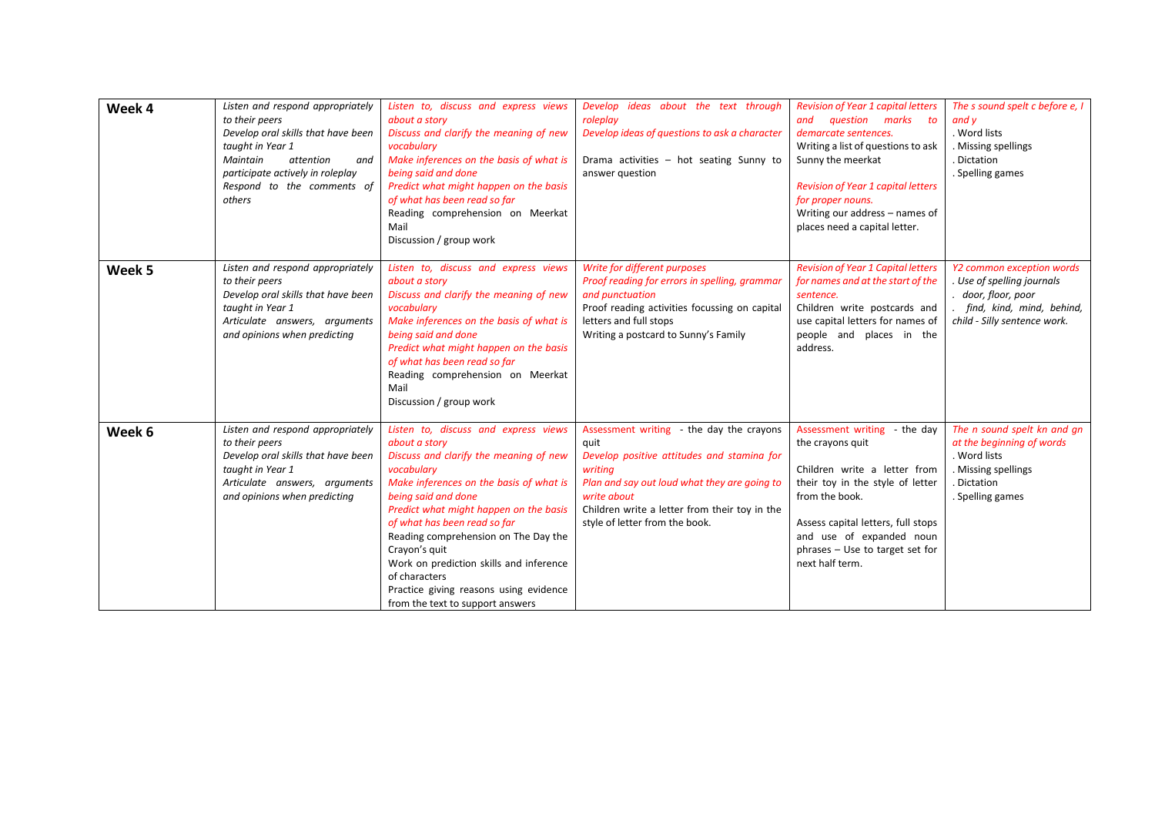| Week 4 | Listen and respond appropriately<br>to their peers<br>Develop oral skills that have been<br>taught in Year 1<br>Maintain<br>attention<br>and<br>participate actively in roleplay<br>Respond to the comments of<br>others | Listen to, discuss and express views<br>about a story<br>Discuss and clarify the meaning of new<br>vocabulary<br>Make inferences on the basis of what is<br>being said and done<br>Predict what might happen on the basis<br>of what has been read so far<br>Reading comprehension on Meerkat<br>Mail<br>Discussion / group work                                                                                                                             | Develop ideas about the text through<br>roleplay<br>Develop ideas of questions to ask a character<br>Drama activities - hot seating Sunny to<br>answer question                                                                                             | <b>Revision of Year 1 capital letters</b><br>and question marks to<br>demarcate sentences.<br>Writing a list of questions to ask<br>Sunny the meerkat<br><b>Revision of Year 1 capital letters</b><br>for proper nouns.<br>Writing our address - names of<br>places need a capital letter. | The s sound spelt c before e, I<br>and v<br>. Word lists<br>. Missing spellings<br>. Dictation<br>. Spelling games                            |
|--------|--------------------------------------------------------------------------------------------------------------------------------------------------------------------------------------------------------------------------|--------------------------------------------------------------------------------------------------------------------------------------------------------------------------------------------------------------------------------------------------------------------------------------------------------------------------------------------------------------------------------------------------------------------------------------------------------------|-------------------------------------------------------------------------------------------------------------------------------------------------------------------------------------------------------------------------------------------------------------|--------------------------------------------------------------------------------------------------------------------------------------------------------------------------------------------------------------------------------------------------------------------------------------------|-----------------------------------------------------------------------------------------------------------------------------------------------|
| Week 5 | Listen and respond appropriately<br>to their peers<br>Develop oral skills that have been<br>taught in Year 1<br>Articulate answers, arguments<br>and opinions when predicting                                            | Listen to, discuss and express views<br>about a story<br>Discuss and clarify the meaning of new<br>vocabulary<br>Make inferences on the basis of what is<br>being said and done<br>Predict what might happen on the basis<br>of what has been read so far<br>Reading comprehension on Meerkat<br>Mail<br>Discussion / group work                                                                                                                             | Write for different purposes<br>Proof reading for errors in spelling, grammar<br>and punctuation<br>Proof reading activities focussing on capital<br>letters and full stops<br>Writing a postcard to Sunny's Family                                         | <b>Revision of Year 1 Capital letters</b><br>for names and at the start of the<br>sentence.<br>Children write postcards and<br>use capital letters for names of<br>people and places in the<br>address.                                                                                    | Y2 common exception words<br>. Use of spelling journals<br>. door, floor, poor<br>. find, kind, mind, behind,<br>child - Silly sentence work. |
| Week 6 | Listen and respond appropriately<br>to their peers<br>Develop oral skills that have been<br>taught in Year 1<br>Articulate answers, arguments<br>and opinions when predicting                                            | Listen to, discuss and express views<br>about a story<br>Discuss and clarify the meaning of new<br>vocabulary<br>Make inferences on the basis of what is<br>being said and done<br>Predict what might happen on the basis<br>of what has been read so far<br>Reading comprehension on The Day the<br>Crayon's quit<br>Work on prediction skills and inference<br>of characters<br>Practice giving reasons using evidence<br>from the text to support answers | Assessment writing - the day the crayons<br>quit<br>Develop positive attitudes and stamina for<br>writina<br>Plan and say out loud what they are going to<br>write about<br>Children write a letter from their toy in the<br>style of letter from the book. | Assessment writing - the day<br>the crayons quit<br>Children write a letter from<br>their toy in the style of letter<br>from the book.<br>Assess capital letters, full stops<br>and use of expanded noun<br>phrases - Use to target set for<br>next half term.                             | The n sound spelt kn and an<br>at the beginning of words<br>. Word lists<br>. Missing spellings<br>. Dictation<br>. Spelling games            |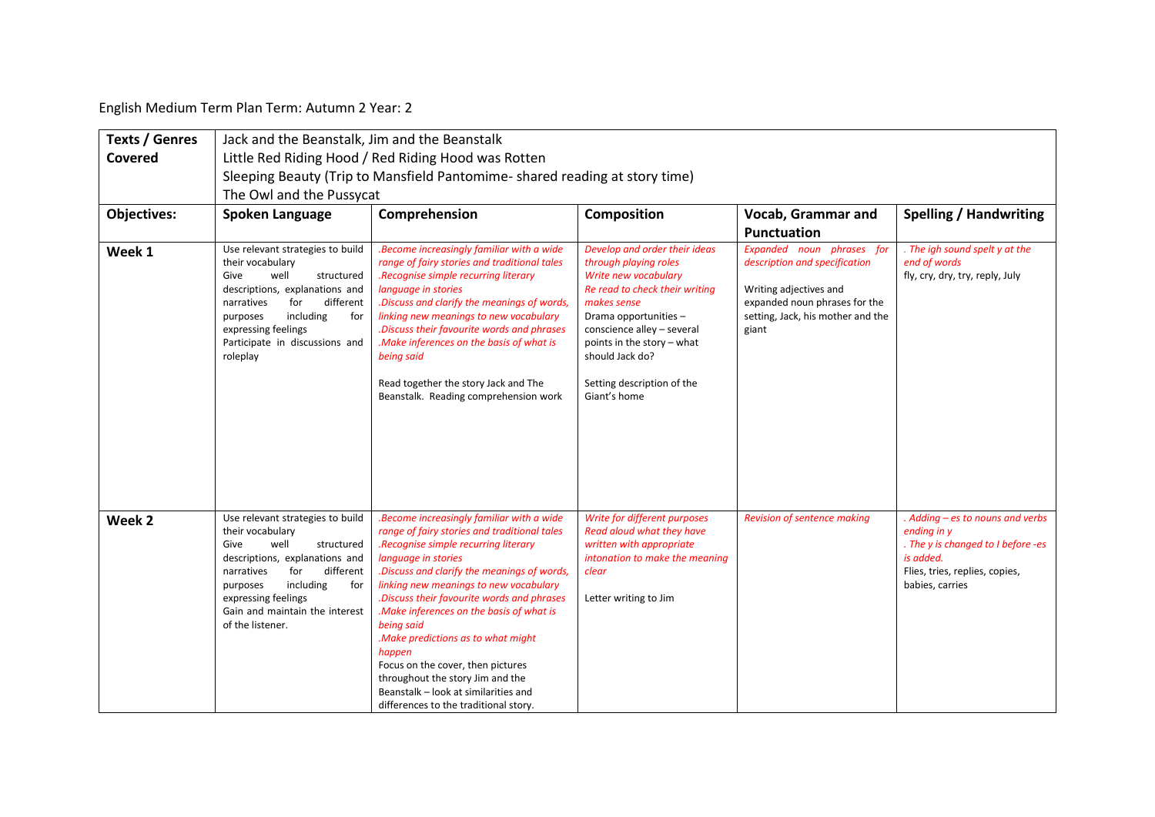English Medium Term Plan Term: Autumn 2 Year: 2

| <b>Texts / Genres</b> | Jack and the Beanstalk, Jim and the Beanstalk                                                                                                                                                                                                                       |                                                                                                                                                                                                                                                                                                                                                                                                                                                                                                                                                                     |                                                                                                                                                                                                                                                                                      |                                                                                                                                                                     |                                                                                                                                                         |  |  |
|-----------------------|---------------------------------------------------------------------------------------------------------------------------------------------------------------------------------------------------------------------------------------------------------------------|---------------------------------------------------------------------------------------------------------------------------------------------------------------------------------------------------------------------------------------------------------------------------------------------------------------------------------------------------------------------------------------------------------------------------------------------------------------------------------------------------------------------------------------------------------------------|--------------------------------------------------------------------------------------------------------------------------------------------------------------------------------------------------------------------------------------------------------------------------------------|---------------------------------------------------------------------------------------------------------------------------------------------------------------------|---------------------------------------------------------------------------------------------------------------------------------------------------------|--|--|
| Covered               | Little Red Riding Hood / Red Riding Hood was Rotten                                                                                                                                                                                                                 |                                                                                                                                                                                                                                                                                                                                                                                                                                                                                                                                                                     |                                                                                                                                                                                                                                                                                      |                                                                                                                                                                     |                                                                                                                                                         |  |  |
|                       | Sleeping Beauty (Trip to Mansfield Pantomime- shared reading at story time)                                                                                                                                                                                         |                                                                                                                                                                                                                                                                                                                                                                                                                                                                                                                                                                     |                                                                                                                                                                                                                                                                                      |                                                                                                                                                                     |                                                                                                                                                         |  |  |
|                       | The Owl and the Pussycat                                                                                                                                                                                                                                            |                                                                                                                                                                                                                                                                                                                                                                                                                                                                                                                                                                     |                                                                                                                                                                                                                                                                                      |                                                                                                                                                                     |                                                                                                                                                         |  |  |
| <b>Objectives:</b>    | Spoken Language                                                                                                                                                                                                                                                     | Comprehension                                                                                                                                                                                                                                                                                                                                                                                                                                                                                                                                                       | <b>Composition</b>                                                                                                                                                                                                                                                                   | Vocab, Grammar and                                                                                                                                                  | <b>Spelling / Handwriting</b>                                                                                                                           |  |  |
|                       |                                                                                                                                                                                                                                                                     |                                                                                                                                                                                                                                                                                                                                                                                                                                                                                                                                                                     |                                                                                                                                                                                                                                                                                      | <b>Punctuation</b>                                                                                                                                                  |                                                                                                                                                         |  |  |
| Week 1                | Use relevant strategies to build<br>their vocabulary<br>well<br>Give<br>structured<br>descriptions, explanations and<br>narratives<br>for<br>different<br>including<br>for<br>purposes<br>expressing feelings<br>Participate in discussions and<br>roleplay         | .Become increasingly familiar with a wide<br>range of fairy stories and traditional tales<br>.Recognise simple recurring literary<br>language in stories<br>.Discuss and clarify the meanings of words,<br>linking new meanings to new vocabulary<br>.Discuss their favourite words and phrases<br>.Make inferences on the basis of what is<br>being said<br>Read together the story Jack and The<br>Beanstalk. Reading comprehension work                                                                                                                          | Develop and order their ideas<br>through playing roles<br>Write new vocabulary<br>Re read to check their writing<br>makes sense<br>Drama opportunities-<br>conscience alley - several<br>points in the story - what<br>should Jack do?<br>Setting description of the<br>Giant's home | Expanded noun phrases for<br>description and specification<br>Writing adjectives and<br>expanded noun phrases for the<br>setting, Jack, his mother and the<br>giant | . The igh sound spelt y at the<br>end of words<br>fly, cry, dry, try, reply, July                                                                       |  |  |
| Week <sub>2</sub>     | Use relevant strategies to build<br>their vocabulary<br>well<br>Give<br>structured<br>descriptions, explanations and<br>different<br>for<br>narratives<br>including<br>purposes<br>for<br>expressing feelings<br>Gain and maintain the interest<br>of the listener. | .Become increasingly familiar with a wide<br>range of fairy stories and traditional tales<br>.Recognise simple recurring literary<br>language in stories<br>.Discuss and clarify the meanings of words,<br>linking new meanings to new vocabulary<br>.Discuss their favourite words and phrases<br>.Make inferences on the basis of what is<br>being said<br>.Make predictions as to what might<br>happen<br>Focus on the cover, then pictures<br>throughout the story Jim and the<br>Beanstalk - look at similarities and<br>differences to the traditional story. | Write for different purposes<br>Read aloud what they have<br>written with appropriate<br>intonation to make the meaning<br>clear<br>Letter writing to Jim                                                                                                                            | Revision of sentence making                                                                                                                                         | . Adding - es to nouns and verbs<br>ending in y<br>. The y is changed to I before -es<br>is added.<br>Flies, tries, replies, copies,<br>babies, carries |  |  |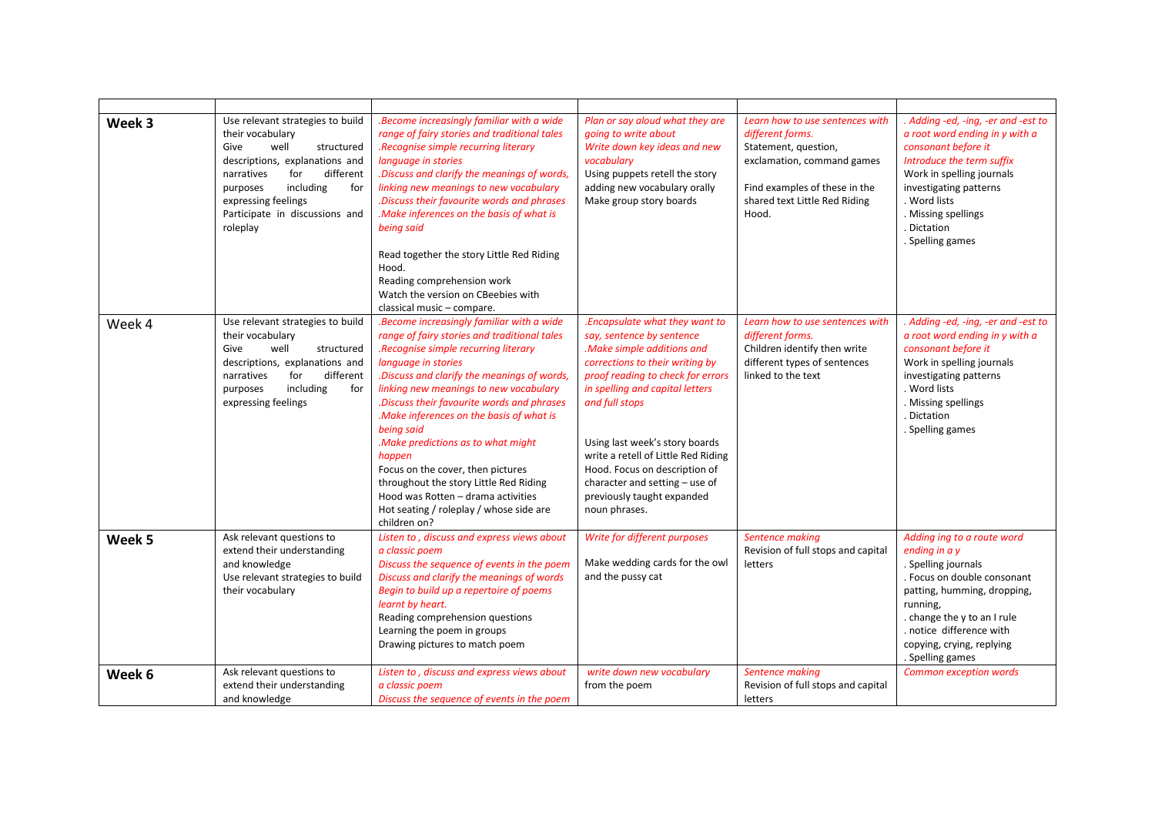| Week 3 | Use relevant strategies to build<br>their vocabulary<br>Give<br>well<br>structured<br>descriptions, explanations and<br>different<br>narratives<br>for<br>including<br>purposes<br>for<br>expressing feelings<br>Participate in discussions and<br>roleplay | .Become increasingly familiar with a wide<br>range of fairy stories and traditional tales<br>.Recognise simple recurring literary<br>language in stories<br>.Discuss and clarify the meanings of words,<br>linking new meanings to new vocabulary<br>Discuss their favourite words and phrases<br>.Make inferences on the basis of what is<br>being said<br>Read together the story Little Red Riding<br>Hood.<br>Reading comprehension work<br>Watch the version on CBeebies with<br>classical music - compare.                                                                          | Plan or say aloud what they are<br>going to write about<br>Write down key ideas and new<br>vocabulary<br>Using puppets retell the story<br>adding new vocabulary orally<br>Make group story boards                                                                                                                                                                                                                | Learn how to use sentences with<br>different forms.<br>Statement, question,<br>exclamation, command games<br>Find examples of these in the<br>shared text Little Red Riding<br>Hood. | . Adding -ed, -ing, -er and -est to<br>a root word ending in y with a<br>consonant before it<br>Introduce the term suffix<br>Work in spelling journals<br>investigating patterns<br>. Word lists<br>. Missing spellings<br>. Dictation<br>. Spelling games |
|--------|-------------------------------------------------------------------------------------------------------------------------------------------------------------------------------------------------------------------------------------------------------------|-------------------------------------------------------------------------------------------------------------------------------------------------------------------------------------------------------------------------------------------------------------------------------------------------------------------------------------------------------------------------------------------------------------------------------------------------------------------------------------------------------------------------------------------------------------------------------------------|-------------------------------------------------------------------------------------------------------------------------------------------------------------------------------------------------------------------------------------------------------------------------------------------------------------------------------------------------------------------------------------------------------------------|--------------------------------------------------------------------------------------------------------------------------------------------------------------------------------------|------------------------------------------------------------------------------------------------------------------------------------------------------------------------------------------------------------------------------------------------------------|
| Week 4 | Use relevant strategies to build<br>their vocabulary<br>Give<br>well<br>structured<br>descriptions, explanations and<br>for<br>narratives<br>different<br>including<br>purposes<br>for<br>expressing feelings                                               | .Become increasingly familiar with a wide<br>range of fairy stories and traditional tales<br>.Recognise simple recurring literary<br>language in stories<br>.Discuss and clarify the meanings of words,<br>linking new meanings to new vocabulary<br>.Discuss their favourite words and phrases<br>.Make inferences on the basis of what is<br>being said<br>.Make predictions as to what might<br>happen<br>Focus on the cover, then pictures<br>throughout the story Little Red Riding<br>Hood was Rotten - drama activities<br>Hot seating / roleplay / whose side are<br>children on? | .Encapsulate what they want to<br>say, sentence by sentence<br>.Make simple additions and<br>corrections to their writing by<br>proof reading to check for errors<br>in spelling and capital letters<br>and full stops<br>Using last week's story boards<br>write a retell of Little Red Riding<br>Hood. Focus on description of<br>character and setting - use of<br>previously taught expanded<br>noun phrases. | Learn how to use sentences with<br>different forms.<br>Children identify then write<br>different types of sentences<br>linked to the text                                            | . Adding -ed, -ing, -er and -est to<br>a root word ending in y with a<br>consonant before it<br>Work in spelling journals<br>investigating patterns<br>. Word lists<br>. Missing spellings<br>. Dictation<br>. Spelling games                              |
| Week 5 | Ask relevant questions to<br>extend their understanding<br>and knowledge<br>Use relevant strategies to build<br>their vocabulary                                                                                                                            | Listen to, discuss and express views about<br>a classic poem<br>Discuss the sequence of events in the poem<br>Discuss and clarify the meanings of words<br>Begin to build up a repertoire of poems<br>learnt by heart.<br>Reading comprehension questions<br>Learning the poem in groups<br>Drawing pictures to match poem                                                                                                                                                                                                                                                                | Write for different purposes<br>Make wedding cards for the owl<br>and the pussy cat                                                                                                                                                                                                                                                                                                                               | Sentence making<br>Revision of full stops and capital<br>letters                                                                                                                     | Adding ing to a route word<br>ending in a y<br>. Spelling journals<br>. Focus on double consonant<br>patting, humming, dropping,<br>running,<br>. change the y to an I rule<br>. notice difference with<br>copying, crying, replying<br>. Spelling games   |
| Week 6 | Ask relevant questions to<br>extend their understanding<br>and knowledge                                                                                                                                                                                    | Listen to, discuss and express views about<br>a classic poem<br>Discuss the sequence of events in the poem                                                                                                                                                                                                                                                                                                                                                                                                                                                                                | write down new vocabulary<br>from the poem                                                                                                                                                                                                                                                                                                                                                                        | Sentence making<br>Revision of full stops and capital<br>letters                                                                                                                     | <b>Common exception words</b>                                                                                                                                                                                                                              |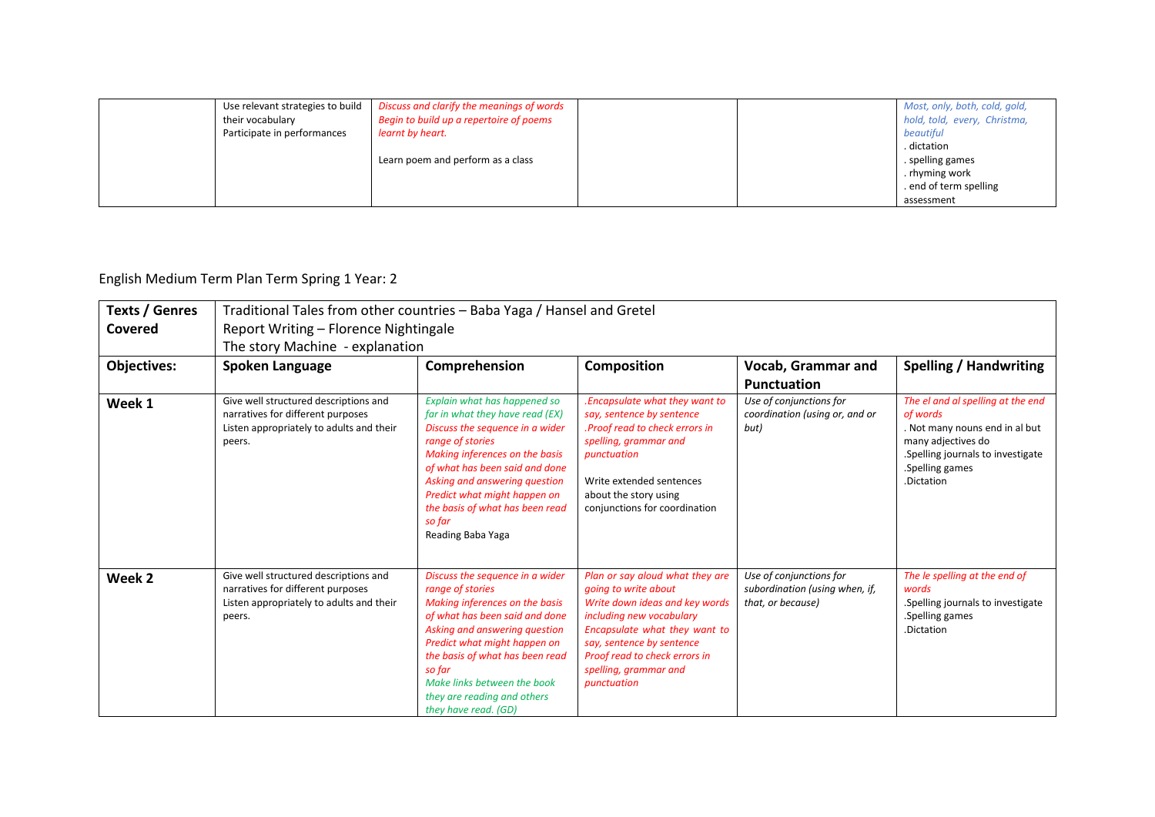| Use relevant strategies to build<br>their vocabulary | Discuss and clarify the meanings of words<br>Begin to build up a repertoire of poems |  | Most, only, both, cold, gold,<br>hold, told, every, Christma, |
|------------------------------------------------------|--------------------------------------------------------------------------------------|--|---------------------------------------------------------------|
| Participate in performances                          | learnt by heart.                                                                     |  | beautiful                                                     |
|                                                      |                                                                                      |  | . dictation                                                   |
|                                                      | Learn poem and perform as a class                                                    |  | . spelling games                                              |
|                                                      |                                                                                      |  | . rhyming work                                                |
|                                                      |                                                                                      |  | end of term spelling                                          |
|                                                      |                                                                                      |  | assessment                                                    |

## English Medium Term Plan Term Spring 1 Year: 2

| <b>Texts / Genres</b> | Traditional Tales from other countries - Baba Yaga / Hansel and Gretel                                                           |                                                                                                                                                                                                                                                                                                                               |                                                                                                                                                                                                                                                              |                                                                                |                                                                                                                                                                             |  |  |  |
|-----------------------|----------------------------------------------------------------------------------------------------------------------------------|-------------------------------------------------------------------------------------------------------------------------------------------------------------------------------------------------------------------------------------------------------------------------------------------------------------------------------|--------------------------------------------------------------------------------------------------------------------------------------------------------------------------------------------------------------------------------------------------------------|--------------------------------------------------------------------------------|-----------------------------------------------------------------------------------------------------------------------------------------------------------------------------|--|--|--|
| Covered               | Report Writing - Florence Nightingale                                                                                            |                                                                                                                                                                                                                                                                                                                               |                                                                                                                                                                                                                                                              |                                                                                |                                                                                                                                                                             |  |  |  |
|                       | The story Machine - explanation                                                                                                  |                                                                                                                                                                                                                                                                                                                               |                                                                                                                                                                                                                                                              |                                                                                |                                                                                                                                                                             |  |  |  |
| <b>Objectives:</b>    | Spoken Language                                                                                                                  | Comprehension                                                                                                                                                                                                                                                                                                                 | <b>Composition</b>                                                                                                                                                                                                                                           | Vocab, Grammar and                                                             | <b>Spelling / Handwriting</b>                                                                                                                                               |  |  |  |
|                       |                                                                                                                                  |                                                                                                                                                                                                                                                                                                                               |                                                                                                                                                                                                                                                              | <b>Punctuation</b>                                                             |                                                                                                                                                                             |  |  |  |
| Week 1                | Give well structured descriptions and<br>narratives for different purposes<br>Listen appropriately to adults and their<br>peers. | Explain what has happened so<br>far in what they have read (EX)<br>Discuss the sequence in a wider<br>range of stories<br>Making inferences on the basis<br>of what has been said and done<br>Asking and answering question<br>Predict what might happen on<br>the basis of what has been read<br>so far<br>Reading Baba Yaga | Encapsulate what they want to<br>say, sentence by sentence<br>.Proof read to check errors in<br>spelling, grammar and<br>punctuation<br>Write extended sentences<br>about the story using<br>conjunctions for coordination                                   | Use of conjunctions for<br>coordination (using or, and or<br>but)              | The el and al spelling at the end<br>of words<br>. Not many nouns end in al but<br>many adjectives do<br>Spelling journals to investigate.<br>.Spelling games<br>.Dictation |  |  |  |
| Week 2                | Give well structured descriptions and<br>narratives for different purposes<br>Listen appropriately to adults and their<br>peers. | Discuss the sequence in a wider<br>range of stories<br>Making inferences on the basis<br>of what has been said and done<br>Asking and answering question<br>Predict what might happen on<br>the basis of what has been read<br>so far<br>Make links between the book<br>they are reading and others<br>they have read. (GD)   | Plan or say aloud what they are<br>going to write about<br>Write down ideas and key words<br>including new vocabulary<br>Encapsulate what they want to<br>say, sentence by sentence<br>Proof read to check errors in<br>spelling, grammar and<br>punctuation | Use of conjunctions for<br>subordination (using when, if,<br>that, or because) | The le spelling at the end of<br>words<br>Spelling journals to investigate.<br>.Spelling games<br>.Dictation                                                                |  |  |  |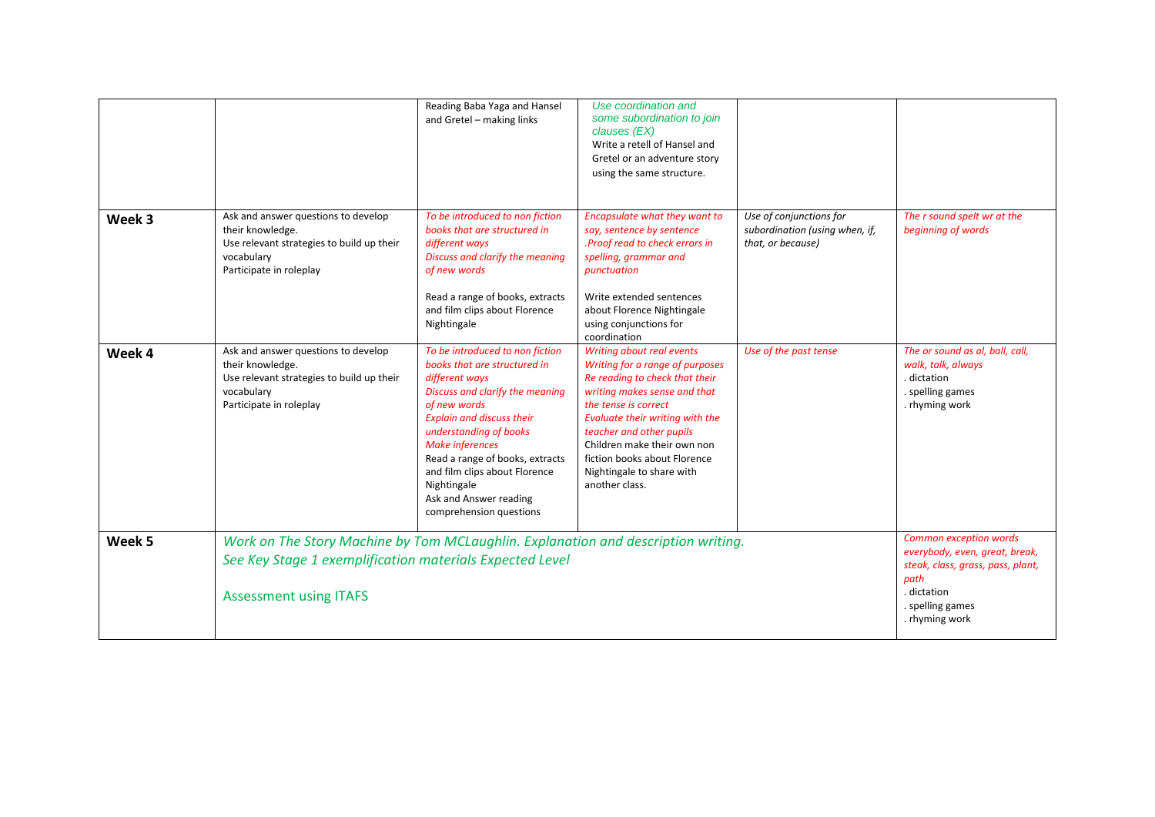|        |                                                                                                                                                                                | Reading Baba Yaga and Hansel<br>and Gretel - making links                                                                                                                                                                                                                                                                                                            | Use coordination and<br>some subordination to join<br>clauses (EX)<br>Write a retell of Hansel and<br>Gretel or an adventure story<br>using the same structure.                                                                                                                                                                     |                                                                                |                                                                                                            |
|--------|--------------------------------------------------------------------------------------------------------------------------------------------------------------------------------|----------------------------------------------------------------------------------------------------------------------------------------------------------------------------------------------------------------------------------------------------------------------------------------------------------------------------------------------------------------------|-------------------------------------------------------------------------------------------------------------------------------------------------------------------------------------------------------------------------------------------------------------------------------------------------------------------------------------|--------------------------------------------------------------------------------|------------------------------------------------------------------------------------------------------------|
| Week 3 | Ask and answer questions to develop<br>their knowledge.<br>Use relevant strategies to build up their<br>vocabulary<br>Participate in roleplay                                  | To be introduced to non fiction<br>books that are structured in<br>different ways<br>Discuss and clarify the meaning<br>of new words<br>Read a range of books, extracts<br>and film clips about Florence<br>Nightingale                                                                                                                                              | Encapsulate what they want to<br>say, sentence by sentence<br>.Proof read to check errors in<br>spelling, grammar and<br>punctuation<br>Write extended sentences<br>about Florence Nightingale<br>using conjunctions for<br>coordination                                                                                            | Use of conjunctions for<br>subordination (using when, if,<br>that, or because) | The r sound spelt wr at the<br>beginning of words                                                          |
| Week 4 | Ask and answer questions to develop<br>their knowledge.<br>Use relevant strategies to build up their<br>vocabulary<br>Participate in roleplay                                  | To be introduced to non fiction<br>books that are structured in<br>different ways<br>Discuss and clarify the meaning<br>of new words<br><b>Explain and discuss their</b><br>understanding of books<br><b>Make inferences</b><br>Read a range of books, extracts<br>and film clips about Florence<br>Nightingale<br>Ask and Answer reading<br>comprehension questions | Writing about real events<br>Writing for a range of purposes<br>Re reading to check that their<br>writing makes sense and that<br>the tense is correct<br>Evaluate their writing with the<br>teacher and other pupils<br>Children make their own non<br>fiction books about Florence<br>Nightingale to share with<br>another class. | Use of the past tense                                                          | The or sound as al, ball, call,<br>walk, talk, always<br>. dictation<br>. spelling games<br>. rhyming work |
| Week 5 | Work on The Story Machine by Tom MCLaughlin. Explanation and description writing.<br>See Key Stage 1 exemplification materials Expected Level<br><b>Assessment using ITAFS</b> |                                                                                                                                                                                                                                                                                                                                                                      |                                                                                                                                                                                                                                                                                                                                     |                                                                                |                                                                                                            |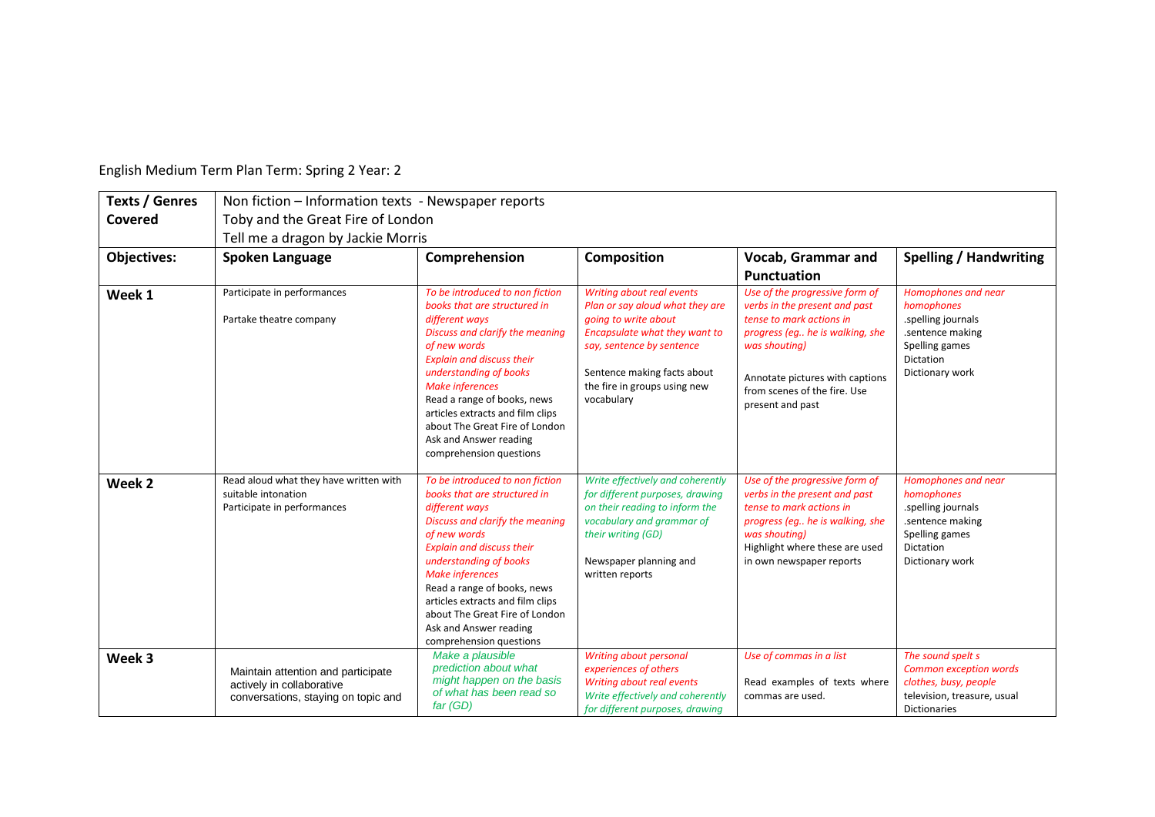| <b>Texts / Genres</b> | Non fiction - Information texts - Newspaper reports                                                    |                                                                                                                                                                                                                                                                                                                                                                                                                   |                                                                                                                                                                                                                                 |                                                                                                                                                                                                                                        |                                                                                                                                   |  |  |  |  |
|-----------------------|--------------------------------------------------------------------------------------------------------|-------------------------------------------------------------------------------------------------------------------------------------------------------------------------------------------------------------------------------------------------------------------------------------------------------------------------------------------------------------------------------------------------------------------|---------------------------------------------------------------------------------------------------------------------------------------------------------------------------------------------------------------------------------|----------------------------------------------------------------------------------------------------------------------------------------------------------------------------------------------------------------------------------------|-----------------------------------------------------------------------------------------------------------------------------------|--|--|--|--|
| Covered               | Toby and the Great Fire of London                                                                      |                                                                                                                                                                                                                                                                                                                                                                                                                   |                                                                                                                                                                                                                                 |                                                                                                                                                                                                                                        |                                                                                                                                   |  |  |  |  |
|                       | Tell me a dragon by Jackie Morris                                                                      |                                                                                                                                                                                                                                                                                                                                                                                                                   |                                                                                                                                                                                                                                 |                                                                                                                                                                                                                                        |                                                                                                                                   |  |  |  |  |
| <b>Objectives:</b>    | Spoken Language                                                                                        | Comprehension                                                                                                                                                                                                                                                                                                                                                                                                     | <b>Composition</b>                                                                                                                                                                                                              | Vocab, Grammar and                                                                                                                                                                                                                     | <b>Spelling / Handwriting</b>                                                                                                     |  |  |  |  |
|                       |                                                                                                        |                                                                                                                                                                                                                                                                                                                                                                                                                   |                                                                                                                                                                                                                                 | <b>Punctuation</b>                                                                                                                                                                                                                     |                                                                                                                                   |  |  |  |  |
| Week 1                | Participate in performances<br>Partake theatre company                                                 | To be introduced to non fiction<br>books that are structured in<br>different ways<br>Discuss and clarify the meaning<br>of new words<br><b>Explain and discuss their</b><br>understanding of books<br><b>Make inferences</b><br>Read a range of books, news<br>articles extracts and film clips<br>about The Great Fire of London<br>Ask and Answer reading                                                       | Writing about real events<br>Plan or say aloud what they are<br>going to write about<br>Encapsulate what they want to<br>say, sentence by sentence<br>Sentence making facts about<br>the fire in groups using new<br>vocabulary | Use of the progressive form of<br>verbs in the present and past<br>tense to mark actions in<br>progress (eq he is walking, she<br>was shouting)<br>Annotate pictures with captions<br>from scenes of the fire. Use<br>present and past | Homophones and near<br>homophones<br>.spelling journals<br>.sentence making<br>Spelling games<br>Dictation<br>Dictionary work     |  |  |  |  |
| Week <sub>2</sub>     | Read aloud what they have written with<br>suitable intonation<br>Participate in performances           | comprehension questions<br>To be introduced to non fiction<br>books that are structured in<br>different ways<br>Discuss and clarify the meaning<br>of new words<br><b>Explain and discuss their</b><br>understanding of books<br><b>Make inferences</b><br>Read a range of books, news<br>articles extracts and film clips<br>about The Great Fire of London<br>Ask and Answer reading<br>comprehension questions | Write effectively and coherently<br>for different purposes, drawing<br>on their reading to inform the<br>vocabulary and grammar of<br>their writing (GD)<br>Newspaper planning and<br>written reports                           | Use of the progressive form of<br>verbs in the present and past<br>tense to mark actions in<br>progress (eg he is walking, she<br>was shouting)<br>Highlight where these are used<br>in own newspaper reports                          | Homophones and near<br>homophones<br>.spelling journals<br>.sentence making<br>Spelling games<br>Dictation<br>Dictionary work     |  |  |  |  |
| Week 3                | Maintain attention and participate<br>actively in collaborative<br>conversations, staying on topic and | Make a plausible<br>prediction about what<br>might happen on the basis<br>of what has been read so<br>$far$ (GD)                                                                                                                                                                                                                                                                                                  | Writing about personal<br>experiences of others<br>Writing about real events<br>Write effectively and coherently<br>for different purposes, drawing                                                                             | Use of commas in a list<br>Read examples of texts where<br>commas are used.                                                                                                                                                            | The sound spelt s<br><b>Common exception words</b><br>clothes, busy, people<br>television, treasure, usual<br><b>Dictionaries</b> |  |  |  |  |

English Medium Term Plan Term: Spring 2 Year: 2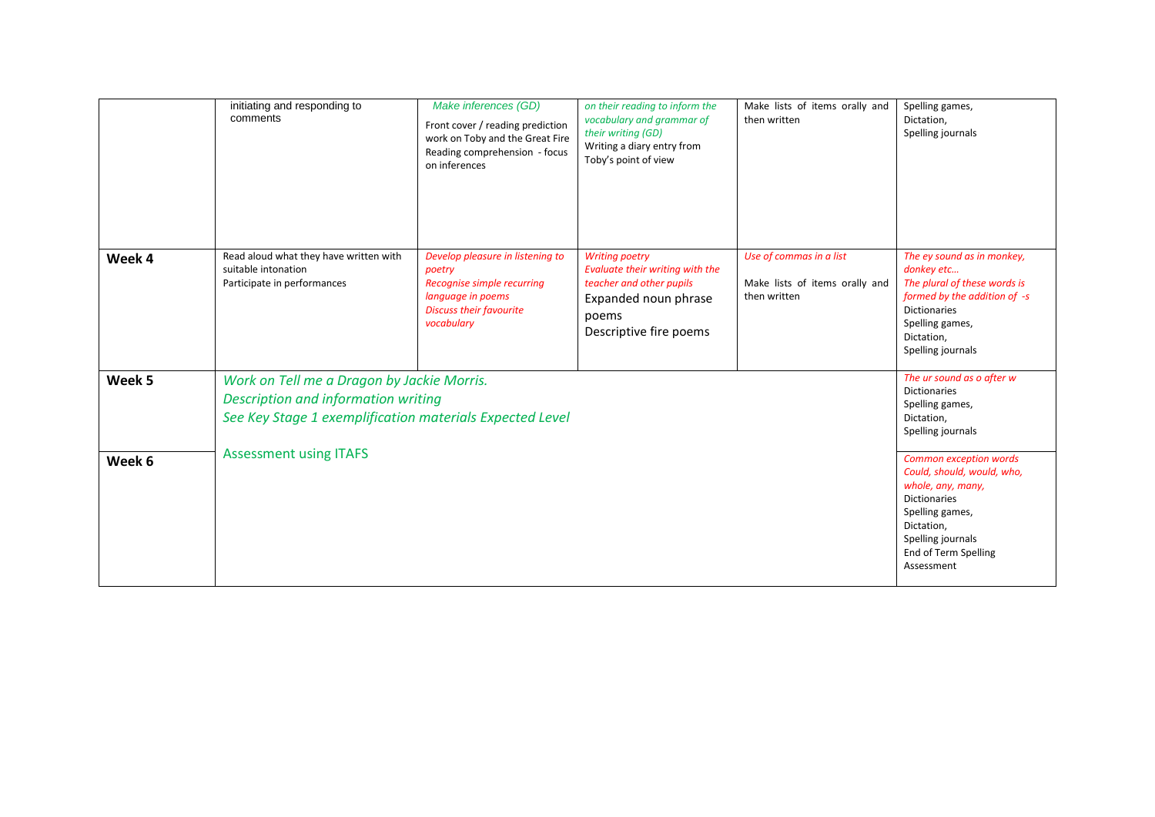|        | initiating and responding to<br>comments                                                                                                      | Make inferences (GD)<br>Front cover / reading prediction<br>work on Toby and the Great Fire<br>Reading comprehension - focus<br>on inferences | on their reading to inform the<br>vocabulary and grammar of<br>their writing (GD)<br>Writing a diary entry from<br>Toby's point of view         | Make lists of items orally and<br>then written                            | Spelling games,<br>Dictation,<br>Spelling journals                                                                                                                                           |  |
|--------|-----------------------------------------------------------------------------------------------------------------------------------------------|-----------------------------------------------------------------------------------------------------------------------------------------------|-------------------------------------------------------------------------------------------------------------------------------------------------|---------------------------------------------------------------------------|----------------------------------------------------------------------------------------------------------------------------------------------------------------------------------------------|--|
| Week 4 | Read aloud what they have written with<br>suitable intonation<br>Participate in performances                                                  | Develop pleasure in listening to<br>poetry<br>Recognise simple recurring<br>language in poems<br><b>Discuss their favourite</b><br>vocabulary | <b>Writing poetry</b><br>Evaluate their writing with the<br>teacher and other pupils<br>Expanded noun phrase<br>poems<br>Descriptive fire poems | Use of commas in a list<br>Make lists of items orally and<br>then written | The ey sound as in monkey,<br>donkey etc<br>The plural of these words is<br>formed by the addition of -s<br><b>Dictionaries</b><br>Spelling games,<br>Dictation,<br>Spelling journals        |  |
| Week 5 | Work on Tell me a Dragon by Jackie Morris.<br>Description and information writing<br>See Key Stage 1 exemplification materials Expected Level |                                                                                                                                               |                                                                                                                                                 |                                                                           |                                                                                                                                                                                              |  |
| Week 6 | <b>Assessment using ITAFS</b>                                                                                                                 |                                                                                                                                               |                                                                                                                                                 |                                                                           | Common exception words<br>Could, should, would, who,<br>whole, any, many,<br><b>Dictionaries</b><br>Spelling games,<br>Dictation,<br>Spelling journals<br>End of Term Spelling<br>Assessment |  |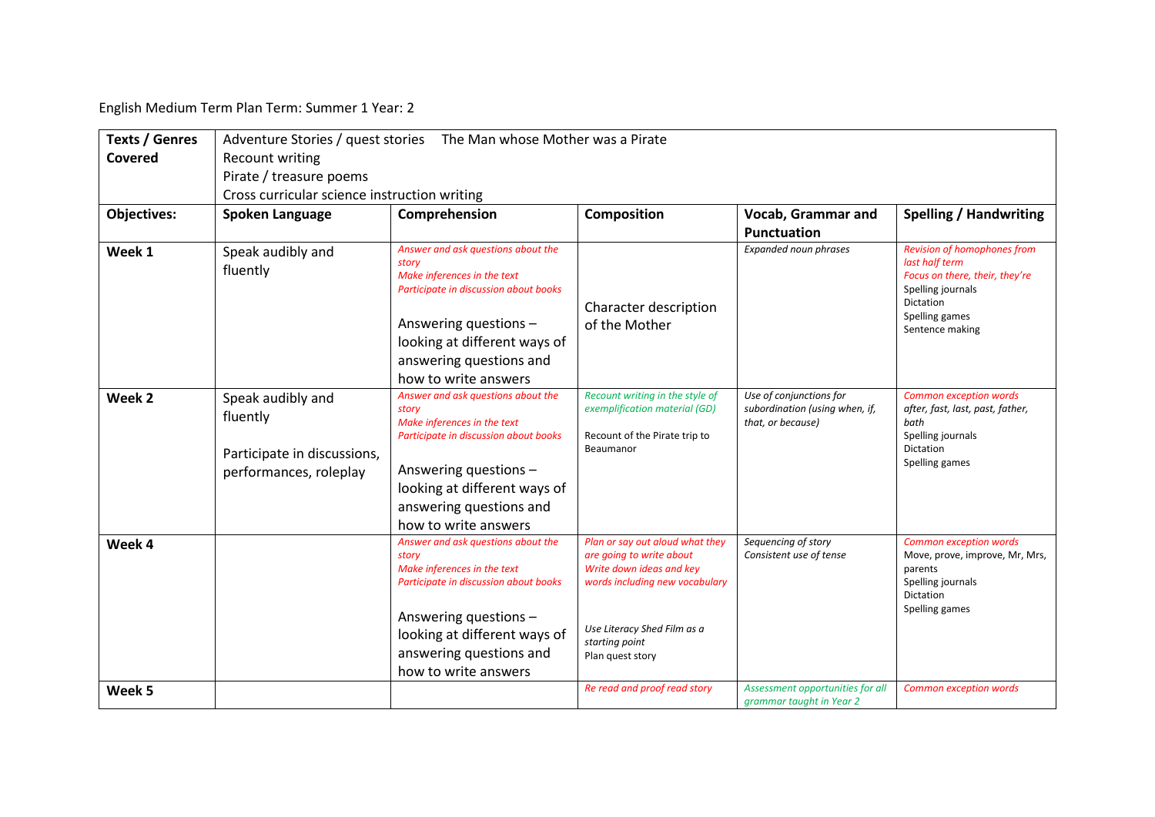English Medium Term Plan Term: Summer 1 Year: 2

| <b>Texts / Genres</b> | Adventure Stories / quest stories The Man whose Mother was a Pirate                    |                                                                                                                                                                                                                                 |                                                                                                                                                                                                |                                                                                |                                                                                                                                                               |  |  |  |  |
|-----------------------|----------------------------------------------------------------------------------------|---------------------------------------------------------------------------------------------------------------------------------------------------------------------------------------------------------------------------------|------------------------------------------------------------------------------------------------------------------------------------------------------------------------------------------------|--------------------------------------------------------------------------------|---------------------------------------------------------------------------------------------------------------------------------------------------------------|--|--|--|--|
| Covered               | Recount writing<br>Pirate / treasure poems                                             |                                                                                                                                                                                                                                 |                                                                                                                                                                                                |                                                                                |                                                                                                                                                               |  |  |  |  |
|                       |                                                                                        |                                                                                                                                                                                                                                 |                                                                                                                                                                                                |                                                                                |                                                                                                                                                               |  |  |  |  |
|                       | Cross curricular science instruction writing                                           |                                                                                                                                                                                                                                 |                                                                                                                                                                                                |                                                                                |                                                                                                                                                               |  |  |  |  |
| <b>Objectives:</b>    | Spoken Language                                                                        | Comprehension                                                                                                                                                                                                                   | Composition                                                                                                                                                                                    | Vocab, Grammar and                                                             | <b>Spelling / Handwriting</b>                                                                                                                                 |  |  |  |  |
|                       |                                                                                        |                                                                                                                                                                                                                                 |                                                                                                                                                                                                | Punctuation                                                                    |                                                                                                                                                               |  |  |  |  |
| Week 1                | Speak audibly and<br>fluently                                                          | Answer and ask questions about the<br>story<br>Make inferences in the text<br>Participate in discussion about books<br>Answering questions -<br>looking at different ways of<br>answering questions and<br>how to write answers | Character description<br>of the Mother                                                                                                                                                         | Expanded noun phrases                                                          | <b>Revision of homophones from</b><br>last half term<br>Focus on there, their, they're<br>Spelling journals<br>Dictation<br>Spelling games<br>Sentence making |  |  |  |  |
| Week <sub>2</sub>     | Speak audibly and<br>fluently<br>Participate in discussions,<br>performances, roleplay | Answer and ask questions about the<br>story<br>Make inferences in the text<br>Participate in discussion about books<br>Answering questions -<br>looking at different ways of<br>answering questions and<br>how to write answers | Recount writing in the style of<br>exemplification material (GD)<br>Recount of the Pirate trip to<br>Beaumanor                                                                                 | Use of conjunctions for<br>subordination (using when, if,<br>that, or because) | Common exception words<br>after, fast, last, past, father,<br>bath<br>Spelling journals<br>Dictation<br>Spelling games                                        |  |  |  |  |
| Week 4                |                                                                                        | Answer and ask questions about the<br>story<br>Make inferences in the text<br>Participate in discussion about books<br>Answering questions -<br>looking at different ways of<br>answering questions and<br>how to write answers | Plan or say out aloud what they<br>are going to write about<br>Write down ideas and key<br>words including new vocabulary<br>Use Literacy Shed Film as a<br>starting point<br>Plan quest story | Sequencing of story<br>Consistent use of tense                                 | Common exception words<br>Move, prove, improve, Mr, Mrs,<br>parents<br>Spelling journals<br>Dictation<br>Spelling games                                       |  |  |  |  |
| Week 5                |                                                                                        |                                                                                                                                                                                                                                 | Re read and proof read story                                                                                                                                                                   | Assessment opportunities for all<br>grammar taught in Year 2                   | <b>Common exception words</b>                                                                                                                                 |  |  |  |  |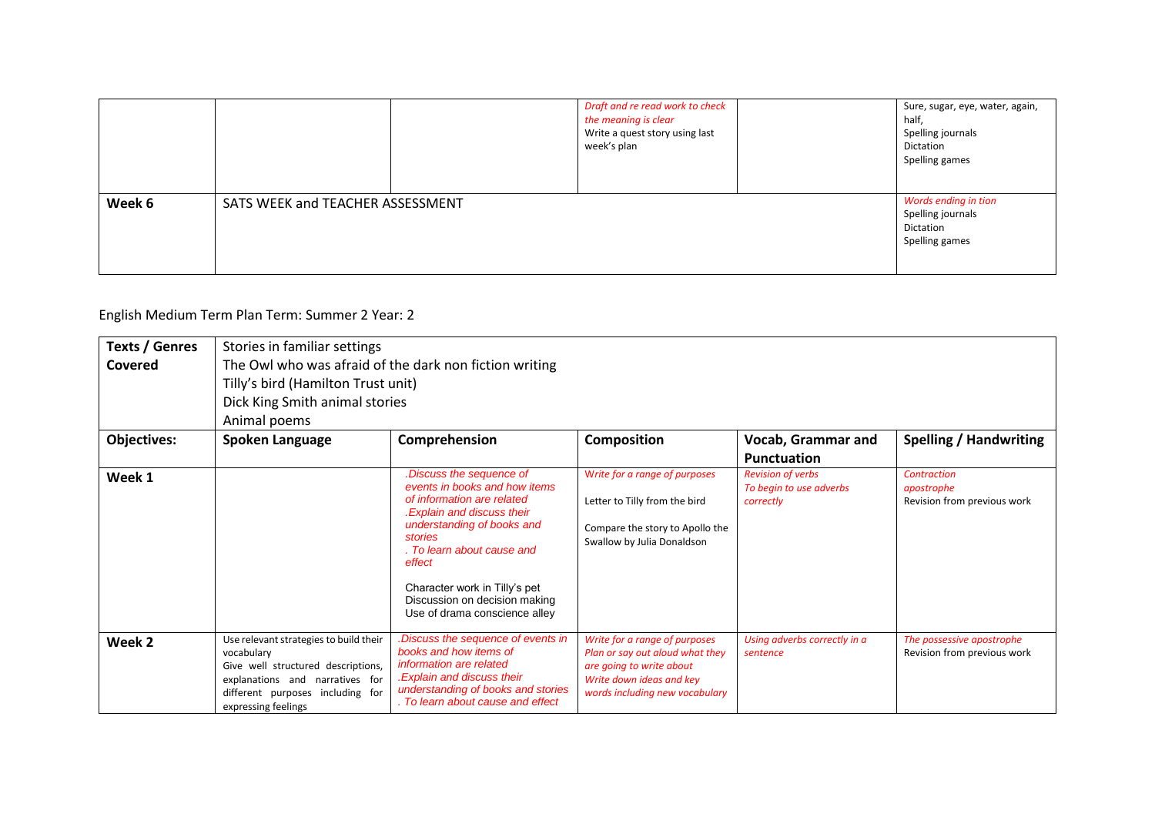|        |                                  | Draft and re read work to check<br>the meaning is clear<br>Write a quest story using last<br>week's plan | Sure, sugar, eye, water, again,<br>half,<br>Spelling journals<br>Dictation<br>Spelling games |
|--------|----------------------------------|----------------------------------------------------------------------------------------------------------|----------------------------------------------------------------------------------------------|
| Week 6 | SATS WEEK and TEACHER ASSESSMENT |                                                                                                          | Words ending in tion<br>Spelling journals<br>Dictation<br>Spelling games                     |

English Medium Term Plan Term: Summer 2 Year: 2

| <b>Texts / Genres</b> | Stories in familiar settings                                                                                                                                                             |                                                                                                                                                                                                                                                                                                          |                                                                                                                                                            |                                                                  |                                                          |  |  |  |
|-----------------------|------------------------------------------------------------------------------------------------------------------------------------------------------------------------------------------|----------------------------------------------------------------------------------------------------------------------------------------------------------------------------------------------------------------------------------------------------------------------------------------------------------|------------------------------------------------------------------------------------------------------------------------------------------------------------|------------------------------------------------------------------|----------------------------------------------------------|--|--|--|
| <b>Covered</b>        | The Owl who was afraid of the dark non fiction writing<br>Tilly's bird (Hamilton Trust unit)                                                                                             |                                                                                                                                                                                                                                                                                                          |                                                                                                                                                            |                                                                  |                                                          |  |  |  |
|                       | Dick King Smith animal stories                                                                                                                                                           |                                                                                                                                                                                                                                                                                                          |                                                                                                                                                            |                                                                  |                                                          |  |  |  |
|                       | Animal poems                                                                                                                                                                             |                                                                                                                                                                                                                                                                                                          |                                                                                                                                                            |                                                                  |                                                          |  |  |  |
| <b>Objectives:</b>    | Spoken Language                                                                                                                                                                          | Comprehension                                                                                                                                                                                                                                                                                            | <b>Composition</b>                                                                                                                                         | Vocab, Grammar and                                               | <b>Spelling / Handwriting</b>                            |  |  |  |
|                       |                                                                                                                                                                                          |                                                                                                                                                                                                                                                                                                          |                                                                                                                                                            | <b>Punctuation</b>                                               |                                                          |  |  |  |
| Week 1                |                                                                                                                                                                                          | Discuss the sequence of<br>events in books and how items<br>of information are related<br>.Explain and discuss their<br>understanding of books and<br>stories<br>. To learn about cause and<br>effect<br>Character work in Tilly's pet<br>Discussion on decision making<br>Use of drama conscience alley | Write for a range of purposes<br>Letter to Tilly from the bird<br>Compare the story to Apollo the<br>Swallow by Julia Donaldson                            | <b>Revision of verbs</b><br>To begin to use adverbs<br>correctly | Contraction<br>apostrophe<br>Revision from previous work |  |  |  |
| Week 2                | Use relevant strategies to build their<br>vocabulary<br>Give well structured descriptions,<br>explanations and narratives for<br>different purposes including for<br>expressing feelings | Discuss the sequence of events in<br>books and how items of<br>information are related<br><b>Explain and discuss their</b><br>understanding of books and stories<br>. To learn about cause and effect                                                                                                    | Write for a range of purposes<br>Plan or say out aloud what they<br>are going to write about<br>Write down ideas and key<br>words including new vocabulary | Using adverbs correctly in a<br>sentence                         | The possessive apostrophe<br>Revision from previous work |  |  |  |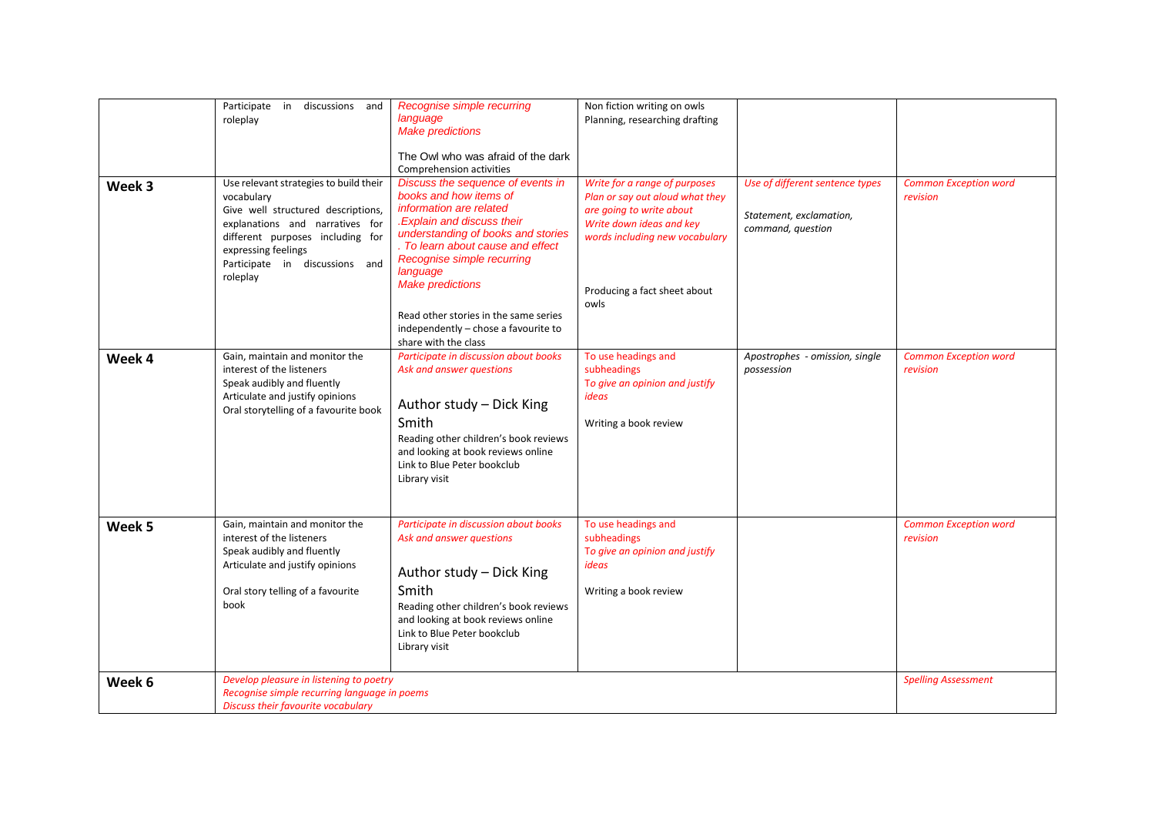| Week 3 | Participate in discussions and<br>roleplay<br>Use relevant strategies to build their<br>vocabulary<br>Give well structured descriptions,<br>explanations and narratives for<br>different purposes including for<br>expressing feelings<br>Participate in discussions and<br>roleplay | Recognise simple recurring<br>language<br><b>Make predictions</b><br>The Owl who was afraid of the dark<br>Comprehension activities<br>Discuss the sequence of events in<br>books and how items of<br>information are related<br>.Explain and discuss their<br>understanding of books and stories<br>. To learn about cause and effect<br>Recognise simple recurring<br>language<br><b>Make predictions</b><br>Read other stories in the same series<br>independently - chose a favourite to | Non fiction writing on owls<br>Planning, researching drafting<br>Write for a range of purposes<br>Plan or say out aloud what they<br>are going to write about<br>Write down ideas and key<br>words including new vocabulary<br>Producing a fact sheet about<br>owls | Use of different sentence types<br>Statement, exclamation,<br>command, question | <b>Common Exception word</b><br>revision |
|--------|--------------------------------------------------------------------------------------------------------------------------------------------------------------------------------------------------------------------------------------------------------------------------------------|----------------------------------------------------------------------------------------------------------------------------------------------------------------------------------------------------------------------------------------------------------------------------------------------------------------------------------------------------------------------------------------------------------------------------------------------------------------------------------------------|---------------------------------------------------------------------------------------------------------------------------------------------------------------------------------------------------------------------------------------------------------------------|---------------------------------------------------------------------------------|------------------------------------------|
| Week 4 | Gain, maintain and monitor the<br>interest of the listeners<br>Speak audibly and fluently<br>Articulate and justify opinions<br>Oral storytelling of a favourite book                                                                                                                | share with the class<br>Participate in discussion about books<br>Ask and answer questions<br>Author study - Dick King<br>Smith<br>Reading other children's book reviews<br>and looking at book reviews online<br>Link to Blue Peter bookclub<br>Library visit                                                                                                                                                                                                                                | To use headings and<br>subheadings<br>To give an opinion and justify<br>ideas<br>Writing a book review                                                                                                                                                              | Apostrophes - omission, single<br>possession                                    | <b>Common Exception word</b><br>revision |
| Week 5 | Gain, maintain and monitor the<br>interest of the listeners<br>Speak audibly and fluently<br>Articulate and justify opinions<br>Oral story telling of a favourite<br>book                                                                                                            | Participate in discussion about books<br>Ask and answer questions<br>Author study - Dick King<br>Smith<br>Reading other children's book reviews<br>and looking at book reviews online<br>Link to Blue Peter bookclub<br>Library visit                                                                                                                                                                                                                                                        | To use headings and<br>subheadings<br>To give an opinion and justify<br>ideas<br>Writing a book review                                                                                                                                                              |                                                                                 | <b>Common Exception word</b><br>revision |
| Week 6 | Develop pleasure in listening to poetry<br>Recognise simple recurring language in poems<br>Discuss their favourite vocabulary                                                                                                                                                        |                                                                                                                                                                                                                                                                                                                                                                                                                                                                                              |                                                                                                                                                                                                                                                                     |                                                                                 | <b>Spelling Assessment</b>               |